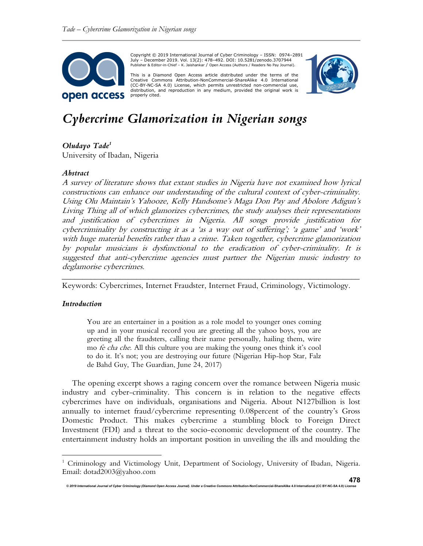

Copyright © 2019 International Journal of Cyber Criminology – ISSN: 0974–2891 July – December 2019. Vol. 13(2): 478–492. DOI: 10.5281/zenodo.3707944 Publisher & Editor-in-Chief – K. Jaishankar / Open Access (Authors / Readers No Pay Journal).

This is a Diamond Open Access article distributed under the terms of the Creative Commons Attribution-NonCommercial-ShareAlike 4.0 International (CC-BY-NC-SA 4.0) License, which permits unrestricted non-commercial use, distribution, and reproduction in any medium, provided the original work is properly cited.



# Cybercrime Glamorization in Nigerian songs

# Oludayo Tade<sup>1</sup>

University of Ibadan, Nigeria

## Abstract

A survey of literature shows that extant studies in Nigeria have not examined how lyrical constructions can enhance our understanding of the cultural context of cyber-criminality. Using Olu Maintain's Yahooze, Kelly Handsome's Maga Don Pay and Abolore Adigun's Living Thing all of which glamorizes cybercrimes, the study analyses their representations and justification of cybercrimes in Nigeria. All songs provide justification for cybercriminality by constructing it as a 'as a way out of suffering'; 'a game' and 'work' with huge material benefits rather than a crime. Taken together, cybercrime glamorization by popular musicians is dysfunctional to the eradication of cyber-criminality. It is suggested that anti-cybercrime agencies must partner the Nigerian music industry to deglamorise cybercrimes.

Keywords: Cybercrimes, Internet Fraudster, Internet Fraud, Criminology, Victimology.

\_\_\_\_\_\_\_\_\_\_\_\_\_\_\_\_\_\_\_\_\_\_\_\_\_\_\_\_\_\_\_\_\_\_\_\_\_\_\_\_\_\_\_\_\_\_\_\_\_\_\_\_\_\_\_\_\_\_\_\_\_\_\_\_\_\_\_\_\_\_\_\_

## Introduction

You are an entertainer in a position as a role model to younger ones coming up and in your musical record you are greeting all the yahoo boys, you are greeting all the fraudsters, calling their name personally, hailing them, wire mo *fe cha che*. All this culture you are making the young ones think it's cool to do it. It's not; you are destroying our future (Nigerian Hip-hop Star, Falz de Bahd Guy, The Guardian, June 24, 2017)

The opening excerpt shows a raging concern over the romance between Nigeria music industry and cyber-criminality. This concern is in relation to the negative effects cybercrimes have on individuals, organisations and Nigeria. About N127billion is lost annually to internet fraud/cybercrime representing 0.08percent of the country's Gross Domestic Product. This makes cybercrime a stumbling block to Foreign Direct Investment (FDI) and a threat to the socio-economic development of the country. The entertainment industry holds an important position in unveiling the ills and moulding the

© 2019 International Journal of Cyber Criminology (Diamond Open Access Journal). Under a Creative Com

<sup>1</sup> Criminology and Victimology Unit, Department of Sociology, University of Ibadan, Nigeria. Email: dotad2003@yahoo.com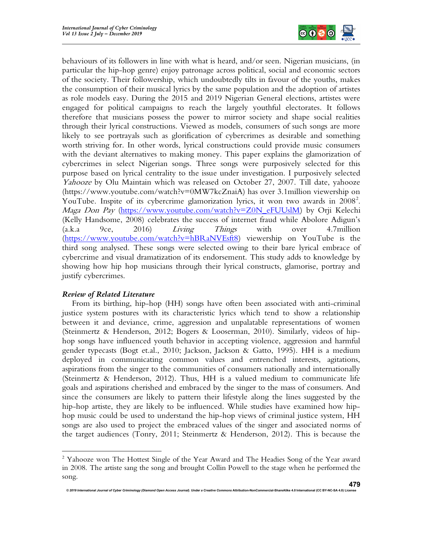

behaviours of its followers in line with what is heard, and/or seen. Nigerian musicians, (in particular the hip-hop genre) enjoy patronage across political, social and economic sectors of the society. Their followership, which undoubtedly tilts in favour of the youths, makes the consumption of their musical lyrics by the same population and the adoption of artistes as role models easy. During the 2015 and 2019 Nigerian General elections, artistes were engaged for political campaigns to reach the largely youthful electorates. It follows therefore that musicians possess the power to mirror society and shape social realities through their lyrical constructions. Viewed as models, consumers of such songs are more likely to see portrayals such as glorification of cybercrimes as desirable and something worth striving for. In other words, lyrical constructions could provide music consumers with the deviant alternatives to making money. This paper explains the glamorization of cybercrimes in select Nigerian songs. Three songs were purposively selected for this purpose based on lyrical centrality to the issue under investigation. I purposively selected Yahooze by Olu Maintain which was released on October 27, 2007. Till date, yahooze (https://www.youtube.com/watch?v=0MW7kcZnaiA) has over 3.1million viewership on YouTube. Inspite of its cybercrime glamorization lyrics, it won two awards in 2008<sup>2</sup>. Maga Don Pay (https://www.youtube.com/watch?v=Z0N\_eFUUslM) by Orji Kelechi (Kelly Handsome, 2008) celebrates the success of internet fraud while Abolore Adigun's  $(a.k.a$  9ce, 2016) *Living Things* with over 4.7million (https://www.youtube.com/watch?v=hBRaNVEsft8) viewership on YouTube is the third song analysed. These songs were selected owing to their bare lyrical embrace of cybercrime and visual dramatization of its endorsement. This study adds to knowledge by showing how hip hop musicians through their lyrical constructs, glamorise, portray and justify cybercrimes.

# Review of Related Literature

From its birthing, hip-hop (HH) songs have often been associated with anti-criminal justice system postures with its characteristic lyrics which tend to show a relationship between it and deviance, crime, aggression and unpalatable representations of women (Steinmertz & Henderson, 2012; Bogers & Looserman, 2010). Similarly, videos of hiphop songs have influenced youth behavior in accepting violence, aggression and harmful gender typecasts (Bogt et.al., 2010; Jackson, Jackson & Gatto, 1995). HH is a medium deployed in communicating common values and entrenched interests, agitations, aspirations from the singer to the communities of consumers nationally and internationally (Steinmertz & Henderson, 2012). Thus, HH is a valued medium to communicate life goals and aspirations cherished and embraced by the singer to the mass of consumers. And since the consumers are likely to pattern their lifestyle along the lines suggested by the hip-hop artiste, they are likely to be influenced. While studies have examined how hiphop music could be used to understand the hip-hop views of criminal justice system, HH songs are also used to project the embraced values of the singer and associated norms of the target audiences (Tonry, 2011; Steinmertz & Henderson, 2012). This is because the

<sup>&</sup>lt;sup>2</sup> Yahooze won The Hottest Single of the Year Award and The Headies Song of the Year award in 2008. The artiste sang the song and brought Collin Powell to the stage when he performed the song.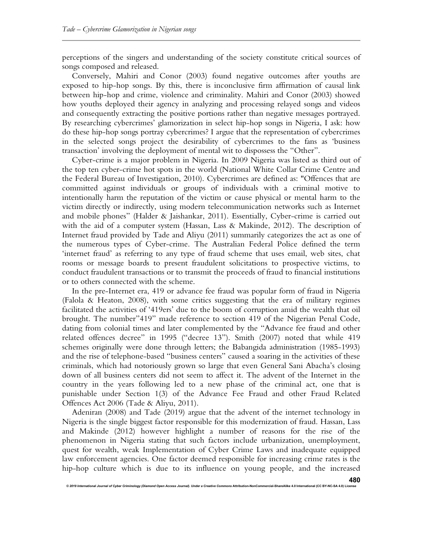perceptions of the singers and understanding of the society constitute critical sources of songs composed and released.

Conversely, Mahiri and Conor (2003) found negative outcomes after youths are exposed to hip-hop songs. By this, there is inconclusive firm affirmation of causal link between hip-hop and crime, violence and criminality. Mahiri and Conor (2003) showed how youths deployed their agency in analyzing and processing relayed songs and videos and consequently extracting the positive portions rather than negative messages portrayed. By researching cybercrimes' glamorization in select hip-hop songs in Nigeria, I ask: how do these hip-hop songs portray cybercrimes? I argue that the representation of cybercrimes in the selected songs project the desirability of cybercrimes to the fans as 'business transaction' involving the deployment of mental wit to dispossess the "Other".

Cyber-crime is a major problem in Nigeria. In 2009 Nigeria was listed as third out of the top ten cyber-crime hot spots in the world (National White Collar Crime Centre and the Federal Bureau of Investigation, 2010). Cybercrimes are defined as: "Offences that are committed against individuals or groups of individuals with a criminal motive to intentionally harm the reputation of the victim or cause physical or mental harm to the victim directly or indirectly, using modern telecommunication networks such as Internet and mobile phones" (Halder & Jaishankar, 2011). Essentially, Cyber-crime is carried out with the aid of a computer system (Hassan, Lass & Makinde, 2012). The description of Internet fraud provided by Tade and Aliyu (2011) summarily categorizes the act as one of the numerous types of Cyber-crime. The Australian Federal Police defined the term 'internet fraud' as referring to any type of fraud scheme that uses email, web sites, chat rooms or message boards to present fraudulent solicitations to prospective victims, to conduct fraudulent transactions or to transmit the proceeds of fraud to financial institutions or to others connected with the scheme.

In the pre-Internet era, 419 or advance fee fraud was popular form of fraud in Nigeria (Falola & Heaton, 2008), with some critics suggesting that the era of military regimes facilitated the activities of '419ers' due to the boom of corruption amid the wealth that oil brought. The number"419" made reference to section 419 of the Nigerian Penal Code, dating from colonial times and later complemented by the "Advance fee fraud and other related offences decree" in 1995 ("decree 13"). Smith (2007) noted that while 419 schemes originally were done through letters; the Babangida administration (1985-1993) and the rise of telephone-based "business centers" caused a soaring in the activities of these criminals, which had notoriously grown so large that even General Sani Abacha's closing down of all business centers did not seem to affect it. The advent of the Internet in the country in the years following led to a new phase of the criminal act, one that is punishable under Section 1(3) of the Advance Fee Fraud and other Fraud Related Offences Act 2006 (Tade & Aliyu, 2011).

Adeniran (2008) and Tade (2019) argue that the advent of the internet technology in Nigeria is the single biggest factor responsible for this modernization of fraud. Hassan, Lass and Makinde (2012) however highlight a number of reasons for the rise of the phenomenon in Nigeria stating that such factors include urbanization, unemployment, quest for wealth, weak Implementation of Cyber Crime Laws and inadequate equipped law enforcement agencies. One factor deemed responsible for increasing crime rates is the hip-hop culture which is due to its influence on young people, and the increased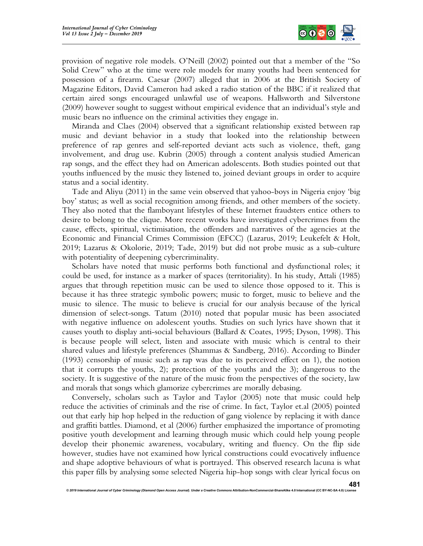

provision of negative role models. O'Neill (2002) pointed out that a member of the "So Solid Crew" who at the time were role models for many youths had been sentenced for possession of a firearm. Caesar (2007) alleged that in 2006 at the British Society of Magazine Editors, David Cameron had asked a radio station of the BBC if it realized that certain aired songs encouraged unlawful use of weapons. Hallsworth and Silverstone (2009) however sought to suggest without empirical evidence that an individual's style and music bears no influence on the criminal activities they engage in.

Miranda and Claes (2004) observed that a significant relationship existed between rap music and deviant behavior in a study that looked into the relationship between preference of rap genres and self-reported deviant acts such as violence, theft, gang involvement, and drug use. Kubrin (2005) through a content analysis studied American rap songs, and the effect they had on American adolescents. Both studies pointed out that youths influenced by the music they listened to, joined deviant groups in order to acquire status and a social identity.

Tade and Aliyu (2011) in the same vein observed that yahoo-boys in Nigeria enjoy 'big boy' status; as well as social recognition among friends, and other members of the society. They also noted that the flamboyant lifestyles of these Internet fraudsters entice others to desire to belong to the clique. More recent works have investigated cybercrimes from the cause, effects, spiritual, victimisation, the offenders and narratives of the agencies at the Economic and Financial Crimes Commission (EFCC) (Lazarus, 2019; Leukefelt & Holt, 2019; Lazarus & Okolorie, 2019; Tade, 2019) but did not probe music as a sub-culture with potentiality of deepening cybercriminality.

Scholars have noted that music performs both functional and dysfunctional roles; it could be used, for instance as a marker of spaces (territoriality). In his study, Attali (1985) argues that through repetition music can be used to silence those opposed to it. This is because it has three strategic symbolic powers; music to forget, music to believe and the music to silence. The music to believe is crucial for our analysis because of the lyrical dimension of select-songs. Tatum (2010) noted that popular music has been associated with negative influence on adolescent youths. Studies on such lyrics have shown that it causes youth to display anti-social behaviours (Ballard & Coates, 1995; Dyson, 1998). This is because people will select, listen and associate with music which is central to their shared values and lifestyle preferences (Shammas & Sandberg, 2016). According to Binder (1993) censorship of music such as rap was due to its perceived effect on 1), the notion that it corrupts the youths, 2); protection of the youths and the 3); dangerous to the society. It is suggestive of the nature of the music from the perspectives of the society, law and morals that songs which glamorize cybercrimes are morally debasing.

Conversely, scholars such as Taylor and Taylor (2005) note that music could help reduce the activities of criminals and the rise of crime. In fact, Taylor et.al (2005) pointed out that early hip hop helped in the reduction of gang violence by replacing it with dance and graffiti battles. Diamond, et al (2006) further emphasized the importance of promoting positive youth development and learning through music which could help young people develop their phonemic awareness, vocabulary, writing and fluency. On the flip side however, studies have not examined how lyrical constructions could evocatively influence and shape adoptive behaviours of what is portrayed. This observed research lacuna is what this paper fills by analysing some selected Nigeria hip-hop songs with clear lyrical focus on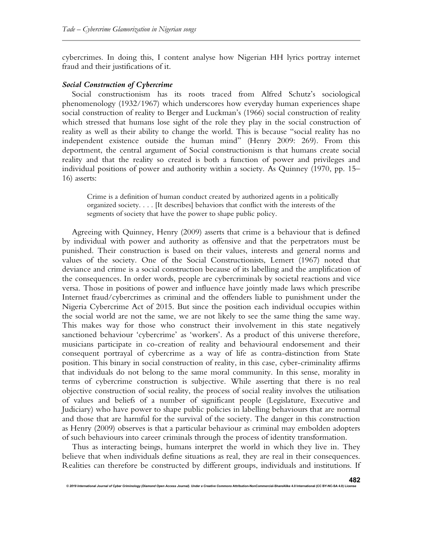cybercrimes. In doing this, I content analyse how Nigerian HH lyrics portray internet fraud and their justifications of it.

#### Social Construction of Cybercrime

Social constructionism has its roots traced from Alfred Schutz's sociological phenomenology (1932/1967) which underscores how everyday human experiences shape social construction of reality to Berger and Luckman's (1966) social construction of reality which stressed that humans lose sight of the role they play in the social construction of reality as well as their ability to change the world. This is because "social reality has no independent existence outside the human mind" (Henry 2009: 269). From this deportment, the central argument of Social constructionism is that humans create social reality and that the reality so created is both a function of power and privileges and individual positions of power and authority within a society. As Quinney (1970, pp. 15– 16) asserts:

Crime is a definition of human conduct created by authorized agents in a politically organized society. . . . [It describes] behaviors that conflict with the interests of the segments of society that have the power to shape public policy.

Agreeing with Quinney, Henry (2009) asserts that crime is a behaviour that is defined by individual with power and authority as offensive and that the perpetrators must be punished. Their construction is based on their values, interests and general norms and values of the society. One of the Social Constructionists, Lemert (1967) noted that deviance and crime is a social construction because of its labelling and the amplification of the consequences. In order words, people are cybercriminals by societal reactions and vice versa. Those in positions of power and influence have jointly made laws which prescribe Internet fraud/cybercrimes as criminal and the offenders liable to punishment under the Nigeria Cybercrime Act of 2015. But since the position each individual occupies within the social world are not the same, we are not likely to see the same thing the same way. This makes way for those who construct their involvement in this state negatively sanctioned behaviour 'cybercrime' as 'workers'. As a product of this universe therefore, musicians participate in co-creation of reality and behavioural endorsement and their consequent portrayal of cybercrime as a way of life as contra-distinction from State position. This binary in social construction of reality, in this case, cyber-criminality affirms that individuals do not belong to the same moral community. In this sense, morality in terms of cybercrime construction is subjective. While asserting that there is no real objective construction of social reality, the process of social reality involves the utilisation of values and beliefs of a number of significant people (Legislature, Executive and Judiciary) who have power to shape public policies in labelling behaviours that are normal and those that are harmful for the survival of the society. The danger in this construction as Henry (2009) observes is that a particular behaviour as criminal may embolden adopters of such behaviours into career criminals through the process of identity transformation.

Thus as interacting beings, humans interpret the world in which they live in. They believe that when individuals define situations as real, they are real in their consequences. Realities can therefore be constructed by different groups, individuals and institutions. If

© 2019 International Journal of Cyber Criminology (Diamond Open Access Journal). Under a Creative Comn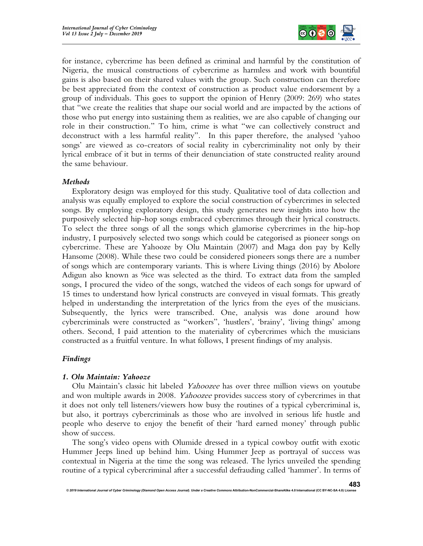

for instance, cybercrime has been defined as criminal and harmful by the constitution of Nigeria, the musical constructions of cybercrime as harmless and work with bountiful gains is also based on their shared values with the group. Such construction can therefore be best appreciated from the context of construction as product value endorsement by a group of individuals. This goes to support the opinion of Henry (2009: 269) who states that "we create the realities that shape our social world and are impacted by the actions of those who put energy into sustaining them as realities, we are also capable of changing our role in their construction." To him, crime is what "we can collectively construct and deconstruct with a less harmful reality". In this paper therefore, the analysed 'yahoo songs' are viewed as co-creators of social reality in cybercriminality not only by their lyrical embrace of it but in terms of their denunciation of state constructed reality around the same behaviour.

# **Methods**

Exploratory design was employed for this study. Qualitative tool of data collection and analysis was equally employed to explore the social construction of cybercrimes in selected songs. By employing exploratory design, this study generates new insights into how the purposively selected hip-hop songs embraced cybercrimes through their lyrical constructs. To select the three songs of all the songs which glamorise cybercrimes in the hip-hop industry, I purposively selected two songs which could be categorised as pioneer songs on cybercrime. These are Yahooze by Olu Maintain (2007) and Maga don pay by Kelly Hansome (2008). While these two could be considered pioneers songs there are a number of songs which are contemporary variants. This is where Living things (2016) by Abolore Adigun also known as 9ice was selected as the third. To extract data from the sampled songs, I procured the video of the songs, watched the videos of each songs for upward of 15 times to understand how lyrical constructs are conveyed in visual formats. This greatly helped in understanding the interpretation of the lyrics from the eyes of the musicians. Subsequently, the lyrics were transcribed. One, analysis was done around how cybercriminals were constructed as "workers", 'hustlers', 'brainy', 'living things' among others. Second, I paid attention to the materiality of cybercrimes which the musicians constructed as a fruitful venture. In what follows, I present findings of my analysis.

## Findings

# 1. Olu Maintain: Yahooze

Olu Maintain's classic hit labeled Yahoozee has over three million views on youtube and won multiple awards in 2008. *Yahoozee* provides success story of cybercrimes in that it does not only tell listeners/viewers how busy the routines of a typical cybercriminal is, but also, it portrays cybercriminals as those who are involved in serious life hustle and people who deserve to enjoy the benefit of their 'hard earned money' through public show of success.

The song's video opens with Olumide dressed in a typical cowboy outfit with exotic Hummer Jeeps lined up behind him. Using Hummer Jeep as portrayal of success was contextual in Nigeria at the time the song was released. The lyrics unveiled the spending routine of a typical cybercriminal after a successful defrauding called 'hammer'. In terms of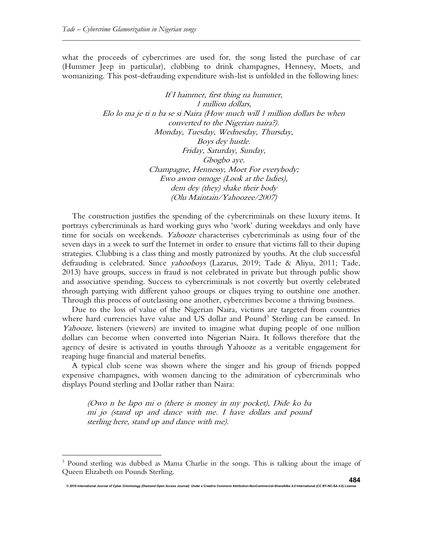what the proceeds of cybercrimes are used for, the song listed the purchase of car (Hummer Jeep in particular), clubbing to drink champagnes, Hennesy, Moets, and womanizing. This post-defrauding expenditure wish-list is unfolded in the following lines:

> If I hammer, first thing na hummer, 1 million dollars, Elo lo ma je ti n ba se si Naira (How much will 1 million dollars be when converted to the Nigerian naira?). Monday, Tuesday, Wednesday, Thursday, Boys dey hustle. Friday, Saturday, Sunday, Gbogbo aye. Champagne, Hennessy, Moet For everybody; Ewo awon omoge (Look at the ladies), dem dey (they) shake their body (Olu Maintain/Yahoozee/2007)

The construction justifies the spending of the cybercriminals on these luxury items. It portrays cybercriminals as hard working guys who 'work' during weekdays and only have time for socials on weekends. Yahooze characterises cybercriminals as using four of the seven days in a week to surf the Internet in order to ensure that victims fall to their duping strategies. Clubbing is a class thing and mostly patronized by youths. At the club successful defrauding is celebrated. Since yahooboys (Lazarus, 2019; Tade & Aliyu, 2011; Tade, 2013) have groups, success in fraud is not celebrated in private but through public show and associative spending. Success to cybercriminals is not covertly but overtly celebrated through partying with different yahoo groups or cliques trying to outshine one another. Through this process of outclassing one another, cybercrimes become a thriving business.

Due to the loss of value of the Nigerian Naira, victims are targeted from countries where hard currencies have value and US dollar and Pound<sup>3</sup> Sterling can be earned. In Yahooze, listeners (viewers) are invited to imagine what duping people of one million dollars can become when converted into Nigerian Naira. It follows therefore that the agency of desire is activated in youths through Yahooze as a veritable engagement for reaping huge financial and material benefits.

A typical club scene was shown where the singer and his group of friends popped expensive champagnes, with women dancing to the admiration of cybercriminals who displays Pound sterling and Dollar rather than Naira:

(Owo n be lapo mi o (there is money in my pocket), Dide ko ba mi jo (stand up and dance with me. I have dollars and pound sterling here, stand up and dance with me).

© 2019 International Journal of Cyber Criminology (Diamond Open Access Journal). Under a Creative Commons Attribution-NonCommercial-ShareAlike 4.0 Intern

<sup>&</sup>lt;sup>3</sup> Pound sterling was dubbed as Mama Charlie in the songs. This is talking about the image of Queen Elizabeth on Pounds Sterling.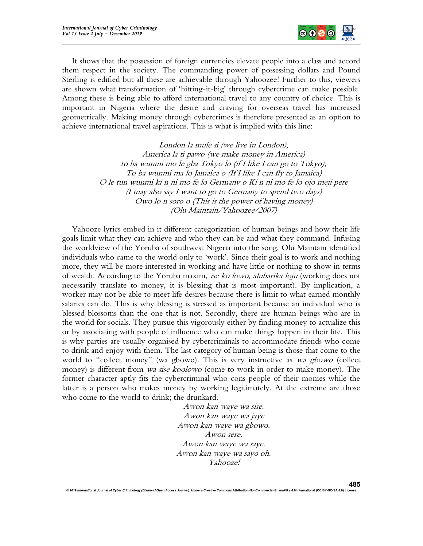

It shows that the possession of foreign currencies elevate people into a class and accord them respect in the society. The commanding power of possessing dollars and Pound Sterling is edified but all these are achievable through Yahoozee! Further to this, viewers are shown what transformation of 'hitting-it-big' through cybercrime can make possible. Among these is being able to afford international travel to any country of choice. This is important in Nigeria where the desire and craving for overseas travel has increased geometrically. Making money through cybercrimes is therefore presented as an option to achieve international travel aspirations. This is what is implied with this line:

> London la mule si (we live in London), America la ti pawo (we make money in America) to ba wunmi mo le gba Tokyo lo (if I like I can go to Tokyo), To ba wunmi ma lo Jamaica o (If I like I can fly to Jamaica) O le tun wunmi ki n ni mo fe lo Germany o Ki n ni mo fe lo ojo meji pere (I may also say I want to go to Germany to spend two days) Owo lo n soro o (This is the power of having money) (Olu Maintain/Yahoozee/2007)

Yahooze lyrics embed in it different categorization of human beings and how their life goals limit what they can achieve and who they can be and what they command. Infusing the worldview of the Yoruba of southwest Nigeria into the song, Olu Maintain identified individuals who came to the world only to 'work'. Since their goal is to work and nothing more, they will be more interested in working and have little or nothing to show in terms of wealth. According to the Yoruba maxim, ise ko lowo, alubarika loju (working does not necessarily translate to money, it is blessing that is most important). By implication, a worker may not be able to meet life desires because there is limit to what earned monthly salaries can do. This is why blessing is stressed as important because an individual who is blessed blossoms than the one that is not. Secondly, there are human beings who are in the world for socials. They pursue this vigorously either by finding money to actualize this or by associating with people of influence who can make things happen in their life. This is why parties are usually organised by cybercriminals to accommodate friends who come to drink and enjoy with them. The last category of human being is those that come to the world to "collect money" (wa gbowo). This is very instructive as wa gbowo (collect money) is different from wa sise koolowo (come to work in order to make money). The former character aptly fits the cybercriminal who cons people of their monies while the latter is a person who makes money by working legitimately. At the extreme are those who come to the world to drink; the drunkard.

> Awon kan waye wa sise. Awon kan waye wa jaye Awon kan waye wa gbowo. Awon sere. Awon kan waye wa saye. Awon kan waye wa sayo oh. Yahooze!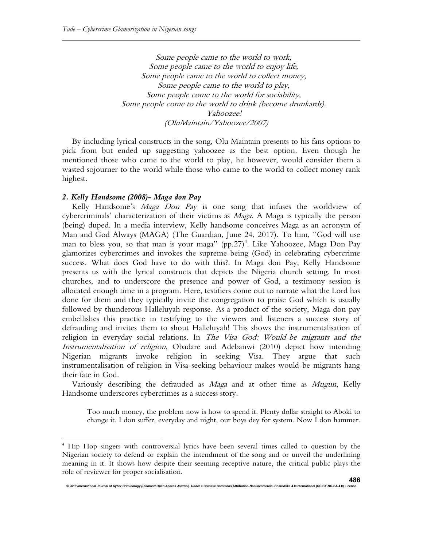Some people came to the world to work, Some people came to the world to enjoy life, Some people came to the world to collect money, Some people came to the world to play, Some people come to the world for sociability, Some people come to the world to drink (become drunkards). Yahoozee! (OluMaintain/Yahoozee/2007)

By including lyrical constructs in the song, Olu Maintain presents to his fans options to pick from but ended up suggesting yahoozee as the best option. Even though he mentioned those who came to the world to play, he however, would consider them a wasted sojourner to the world while those who came to the world to collect money rank highest.

# 2. Kelly Handsome (2008)- Maga don Pay

Kelly Handsome's Maga Don Pay is one song that infuses the worldview of cybercriminals' characterization of their victims as Maga. A Maga is typically the person (being) duped. In a media interview, Kelly handsome conceives Maga as an acronym of Man and God Always (MAGA) (The Guardian, June 24, 2017). To him, "God will use man to bless you, so that man is your maga" (pp.27)<sup>4</sup>. Like Yahoozee, Maga Don Pay glamorizes cybercrimes and invokes the supreme-being (God) in celebrating cybercrime success. What does God have to do with this?. In Maga don Pay, Kelly Handsome presents us with the lyrical constructs that depicts the Nigeria church setting. In most churches, and to underscore the presence and power of God, a testimony session is allocated enough time in a program. Here, testifiers come out to narrate what the Lord has done for them and they typically invite the congregation to praise God which is usually followed by thunderous Halleluyah response. As a product of the society, Maga don pay embellishes this practice in testifying to the viewers and listeners a success story of defrauding and invites them to shout Halleluyah! This shows the instrumentalisation of religion in everyday social relations. In The Visa God: Would-be migrants and the Instrumentalisation of religion, Obadare and Adebanwi (2010) depict how intending Nigerian migrants invoke religion in seeking Visa. They argue that such instrumentalisation of religion in Visa-seeking behaviour makes would-be migrants hang their fate in God.

Variously describing the defrauded as Maga and at other time as Mugun, Kelly Handsome underscores cybercrimes as a success story.

Too much money, the problem now is how to spend it. Plenty dollar straight to Aboki to change it. I don suffer, everyday and night, our boys dey for system. Now I don hammer.

.<br>1919 Journal of Cyber Criminology (Diamond Open Access Journal). Under a Creative Commons Attribution-NonCommercial-ShareAlike 4.0 International (

<sup>4</sup> Hip Hop singers with controversial lyrics have been several times called to question by the Nigerian society to defend or explain the intendment of the song and or unveil the underlining meaning in it. It shows how despite their seeming receptive nature, the critical public plays the role of reviewer for proper socialisation.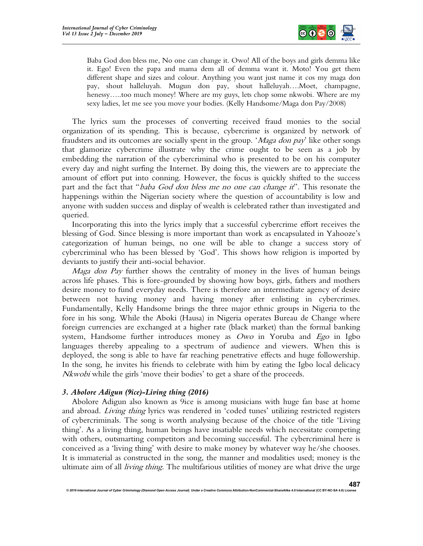

Baba God don bless me, No one can change it. Owo! All of the boys and girls demma like it. Ego! Even the papa and mama dem all of demma want it. Moto! You get them different shape and sizes and colour. Anything you want just name it cos my maga don pay, shout halleluyah. Mugun don pay, shout halleluyah….Moet, champagne, henessy…..too much money! Where are my guys, lets chop some nkwobi. Where are my sexy ladies, let me see you move your bodies. (Kelly Handsome/Maga don Pay/2008)

The lyrics sum the processes of converting received fraud monies to the social organization of its spending. This is because, cybercrime is organized by network of fraudsters and its outcomes are socially spent in the group. 'Maga don pay' like other songs that glamorize cybercrime illustrate why the crime ought to be seen as a job by embedding the narration of the cybercriminal who is presented to be on his computer every day and night surfing the Internet. By doing this, the viewers are to appreciate the amount of effort put into conning. However, the focus is quickly shifted to the success part and the fact that "*baba God don bless me no one can change it*". This resonate the happenings within the Nigerian society where the question of accountability is low and anyone with sudden success and display of wealth is celebrated rather than investigated and queried.

Incorporating this into the lyrics imply that a successful cybercrime effort receives the blessing of God. Since blessing is more important than work as encapsulated in Yahooze's categorization of human beings, no one will be able to change a success story of cybercriminal who has been blessed by 'God'. This shows how religion is imported by deviants to justify their anti-social behavior.

Maga don Pay further shows the centrality of money in the lives of human beings across life phases. This is fore-grounded by showing how boys, girls, fathers and mothers desire money to fund everyday needs. There is therefore an intermediate agency of desire between not having money and having money after enlisting in cybercrimes. Fundamentally, Kelly Handsome brings the three major ethnic groups in Nigeria to the fore in his song. While the Aboki (Hausa) in Nigeria operates Bureau de Change where foreign currencies are exchanged at a higher rate (black market) than the formal banking system, Handsome further introduces money as  $\overline{O}$ wo in Yoruba and  $Ego$  in Igbo languages thereby appealing to a spectrum of audience and viewers. When this is deployed, the song is able to have far reaching penetrative effects and huge followership. In the song, he invites his friends to celebrate with him by eating the Igbo local delicacy Nkwobi while the girls 'move their bodies' to get a share of the proceeds.

## 3. Abolore Adigun (9ice)-Living thing (2016)

Abolore Adigun also known as 9ice is among musicians with huge fan base at home and abroad. Living thing lyrics was rendered in 'coded tunes' utilizing restricted registers of cybercriminals. The song is worth analysing because of the choice of the title 'Living thing'. As a living thing, human beings have insatiable needs which necessitate competing with others, outsmarting competitors and becoming successful. The cybercriminal here is conceived as a 'living thing' with desire to make money by whatever way he/she chooses. It is immaterial as constructed in the song, the manner and modalities used; money is the ultimate aim of all *living thing*. The multifarious utilities of money are what drive the urge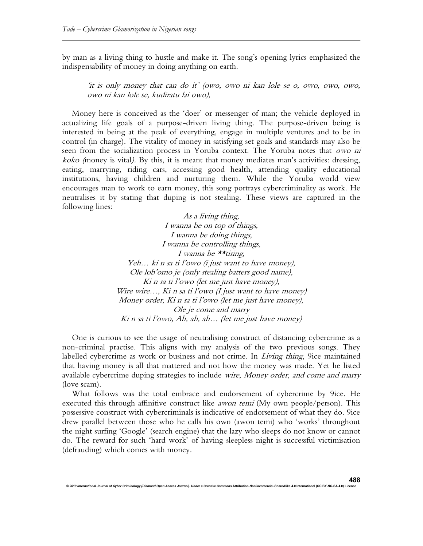by man as a living thing to hustle and make it. The song's opening lyrics emphasized the indispensability of money in doing anything on earth.

'it is only money that can do it' (owo, owo ni kan lole se o, owo, owo, owo, owo ni kan lole se, kudiratu lai owo),

Money here is conceived as the 'doer' or messenger of man; the vehicle deployed in actualizing life goals of a purpose-driven living thing. The purpose-driven being is interested in being at the peak of everything, engage in multiple ventures and to be in control (in charge). The vitality of money in satisfying set goals and standards may also be seen from the socialization process in Yoruba context. The Yoruba notes that owo ni koko (money is vital). By this, it is meant that money mediates man's activities: dressing, eating, marrying, riding cars, accessing good health, attending quality educational institutions, having children and nurturing them. While the Yoruba world view encourages man to work to earn money, this song portrays cybercriminality as work. He neutralises it by stating that duping is not stealing. These views are captured in the following lines:

> As a living thing, I wanna be on top of things, I wanna be doing things, I wanna be controlling things, I wanna be  $\star\star$ tising, Yeh… ki n sa ti l'owo (i just want to have money), Ole lob'omo je (only stealing batters good name), Ki n sa ti l'owo (let me just have money), Wire wire..., Ki n sa ti l'owo (I just want to have money) Money order, Ki n sa ti l'owo (let me just have money), Ole je come and marry Ki n sa ti l'owo, Ah, ah, ah… (let me just have money)

One is curious to see the usage of neutralising construct of distancing cybercrime as a non-criminal practise. This aligns with my analysis of the two previous songs. They labelled cybercrime as work or business and not crime. In *Living thing*, 9ice maintained that having money is all that mattered and not how the money was made. Yet he listed available cybercrime duping strategies to include wire, Money order, and come and marry (love scam).

What follows was the total embrace and endorsement of cybercrime by 9ice. He executed this through affinitive construct like *awon temi* (My own people/person). This possessive construct with cybercriminals is indicative of endorsement of what they do. 9ice drew parallel between those who he calls his own (awon temi) who 'works' throughout the night surfing 'Google' (search engine) that the lazy who sleeps do not know or cannot do. The reward for such 'hard work' of having sleepless night is successful victimisation (defrauding) which comes with money.

© 2019 International Journal of Cyber Criminology (Diamond Open Access Journal). Under a Creative Comr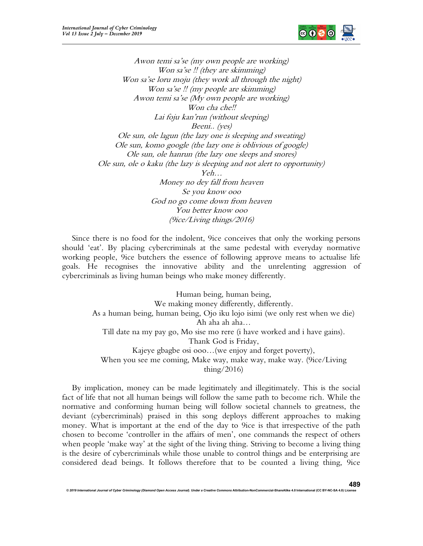

Awon temi sa'se (my own people are working) Won sa'se !! (they are skimming) Won sa'se loru moju (they work all through the night) Won sa'se !! (my people are skimming) Awon temi sa'se (My own people are working) Won cha che!! Lai foju kan'run (without sleeping) Beeni.. (yes) Ole sun, ole lagun (the lazy one is sleeping and sweating) Ole sun, komo google (the lazy one is oblivious of google) Ole sun, ole hanrun (the lazy one sleeps and snores) Ole sun, ole o kaku (the lazy is sleeping and not alert to opportunity) Yeh… Money no dey fall from heaven Se you know ooo God no go come down from heaven You better know ooo (9ice/Living things/2016)

Since there is no food for the indolent, 9ice conceives that only the working persons should 'eat'. By placing cybercriminals at the same pedestal with everyday normative working people, 9ice butchers the essence of following approve means to actualise life goals. He recognises the innovative ability and the unrelenting aggression of cybercriminals as living human beings who make money differently.

Human being, human being, We making money differently, differently. As a human being, human being, Ojo iku lojo isimi (we only rest when we die) Ah aha ah aha… Till date na my pay go, Mo sise mo rere (i have worked and i have gains). Thank God is Friday, Kajeye gbagbe osi ooo…(we enjoy and forget poverty), When you see me coming, Make way, make way, make way. (9ice/Living thing/ $2016$ )

By implication, money can be made legitimately and illegitimately. This is the social fact of life that not all human beings will follow the same path to become rich. While the normative and conforming human being will follow societal channels to greatness, the deviant (cybercriminals) praised in this song deploys different approaches to making money. What is important at the end of the day to 9ice is that irrespective of the path chosen to become 'controller in the affairs of men', one commands the respect of others when people 'make way' at the sight of the living thing. Striving to become a living thing is the desire of cybercriminals while those unable to control things and be enterprising are considered dead beings. It follows therefore that to be counted a living thing, 9ice

© 2019 International Journal of Cyber Criminology (Diamond Open Access Journal). Under a Creative Commons Attribution-NonCommercial-ShareAlike 4.0 International (CC BY-NC-SA 4.0) Licens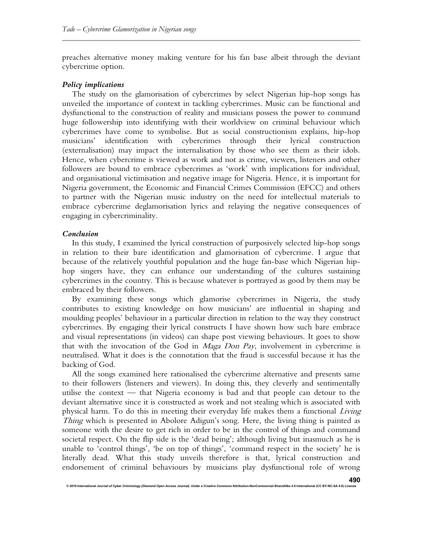preaches alternative money making venture for his fan base albeit through the deviant cybercrime option.

## Policy implications

The study on the glamorisation of cybercrimes by select Nigerian hip-hop songs has unveiled the importance of context in tackling cybercrimes. Music can be functional and dysfunctional to the construction of reality and musicians possess the power to command huge followership into identifying with their worldview on criminal behaviour which cybercrimes have come to symbolise. But as social constructionism explains, hip-hop musicians' identification with cybercrimes through their lyrical construction (externalisation) may impact the internalisation by those who see them as their idols. Hence, when cybercrime is viewed as work and not as crime, viewers, listeners and other followers are bound to embrace cybercrimes as 'work' with implications for individual, and organisational victimisation and negative image for Nigeria. Hence, it is important for Nigeria government, the Economic and Financial Crimes Commission (EFCC) and others to partner with the Nigerian music industry on the need for intellectual materials to embrace cybercrime deglamorisation lyrics and relaying the negative consequences of engaging in cybercriminality.

# Conclusion

In this study, I examined the lyrical construction of purposively selected hip-hop songs in relation to their bare identification and glamorisation of cybercrime. I argue that because of the relatively youthful population and the huge fan-base which Nigerian hiphop singers have, they can enhance our understanding of the cultures sustaining cybercrimes in the country. This is because whatever is portrayed as good by them may be embraced by their followers.

By examining these songs which glamorise cybercrimes in Nigeria, the study contributes to existing knowledge on how musicians' are influential in shaping and moulding peoples' behaviour in a particular direction in relation to the way they construct cybercrimes. By engaging their lyrical constructs I have shown how such bare embrace and visual representations (in videos) can shape post viewing behaviours. It goes to show that with the invocation of the God in *Maga Don Pay*, involvement in cybercrime is neutralised. What it does is the connotation that the fraud is successful because it has the backing of God.

All the songs examined here rationalised the cybercrime alternative and presents same to their followers (listeners and viewers). In doing this, they cleverly and sentimentally utilise the context — that Nigeria economy is bad and that people can detour to the deviant alternative since it is constructed as work and not stealing which is associated with physical harm. To do this in meeting their everyday life makes them a functional Living Thing which is presented in Abolore Adigun's song. Here, the living thing is painted as someone with the desire to get rich in order to be in the control of things and command societal respect. On the flip side is the 'dead being'; although living but inasmuch as he is unable to 'control things', 'be on top of things', 'command respect in the society' he is literally dead. What this study unveils therefore is that, lyrical construction and endorsement of criminal behaviours by musicians play dysfunctional role of wrong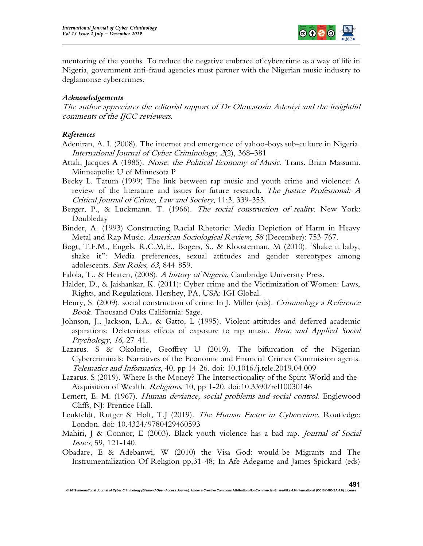

mentoring of the youths. To reduce the negative embrace of cybercrime as a way of life in Nigeria, government anti-fraud agencies must partner with the Nigerian music industry to deglamorise cybercrimes.

# Acknowledgements

The author appreciates the editorial support of Dr Oluwatosin Adeniyi and the insightful comments of the IJCC reviewers.

## References

- Adeniran, A. I. (2008). The internet and emergence of yahoo-boys sub-culture in Nigeria. International Journal of Cyber Criminology, 2(2), 368–381
- Attali, Jacques A (1985). *Noise: the Political Economy of Music*. Trans. Brian Massumi. Minneapolis: U of Minnesota P
- Becky L. Tatum (1999) The link between rap music and youth crime and violence: A review of the literature and issues for future research, The Justice Professional: A Critical Journal of Crime, Law and Society, 11:3, 339-353.
- Berger, P., & Luckmann. T. (1966). The social construction of reality. New York: Doubleday
- Binder, A. (1993) Constructing Racial Rhetoric: Media Depiction of Harm in Heavy Metal and Rap Music. American Sociological Review, 58 (December): 753-767.
- Bogt, T.F.M., Engels, R,C,M,E., Bogers, S., & Kloosterman, M (2010). 'Shake it baby, shake it": Media preferences, sexual attitudes and gender stereotypes among adolescents. Sex Roles, 63, 844-859.
- Falola, T., & Heaten, (2008). A history of Nigeria. Cambridge University Press.
- Halder, D., & Jaishankar, K. (2011): Cyber crime and the Victimization of Women: Laws, Rights, and Regulations. Hershey, PA, USA: IGI Global.
- Henry, S. (2009). social construction of crime In J. Miller (eds). *Criminology a Reference* Book. Thousand Oaks California: Sage.
- Johnson, J., Jackson, L.A., & Gatto, L (1995). Violent attitudes and deferred academic aspirations: Deleterious effects of exposure to rap music. Basic and Applied Social Psychology, 16, 27-41.
- Lazarus. S & Okolorie, Geoffrey U (2019). The bifurcation of the Nigerian Cybercriminals: Narratives of the Economic and Financial Crimes Commission agents. Telematics and Informatics, 40, pp 14-26. doi: 10.1016/j.tele.2019.04.009
- Lazarus. S (2019). Where Is the Money? The Intersectionality of the Spirit World and the Acquisition of Wealth. Religions, 10, pp 1-20. doi:10.3390/rel10030146
- Lemert, E. M. (1967). Human deviance, social problems and social control. Englewood Cliffs, NJ: Prentice Hall.
- Leukfeldt, Rutger & Holt, T.J (2019). The Human Factor in Cybercrime. Routledge: London. doi: 10.4324/9780429460593
- Mahiri, J & Connor, E (2003). Black youth violence has a bad rap. Journal of Social Issues, 59, 121-140.
- Obadare, E & Adebanwi, W (2010) the Visa God: would-be Migrants and The Instrumentalization Of Religion pp,31-48; In Afe Adegame and James Spickard (eds)